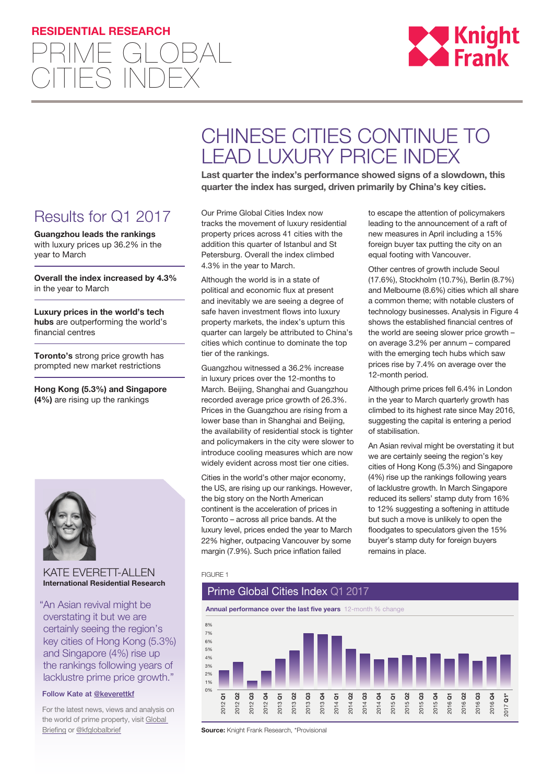## **RESIDENTIAL RESEARCH**





# CHINESE CITIES CONTINUE TO LEAD LUXURY PRICE INDEX

**Last quarter the index's performance showed signs of a slowdown, this quarter the index has surged, driven primarily by China's key cities.**

Results for Q1 2017

**Guangzhou leads the rankings**  with luxury prices up 36.2% in the year to March

**Overall the index increased by 4.3%**  in the year to March

**Luxury prices in the world's tech hubs** are outperforming the world's financial centres

**Toronto's** strong price growth has prompted new market restrictions

**Hong Kong (5.3%) and Singapore (4%)** are rising up the rankings



#### KATE EVERETT-ALLEN **International Residential Research**

"An Asian revival might be overstating it but we are certainly seeing the region's key cities of Hong Kong (5.3%) and Singapore (4%) rise up the rankings following years of lacklustre prime price growth."

#### Follow Kate at [@k](https://twitter.com/keverettkf)everettk[f](http://www.twitter.com/oliverknightkf)

For the latest news, views and analysis on the world of prime property, visit [Global](http://www.knightfrankblog.com/global-briefing)  **[Briefing](http://www.knightfrankblog.com/global-briefing) or [@kfglobalbrief](https://twitter.com/KFGlobalBrief)** 

Our Prime Global Cities Index now tracks the movement of luxury residential property prices across 41 cities with the addition this quarter of Istanbul and St Petersburg. Overall the index climbed 4.3% in the year to March.

Although the world is in a state of political and economic flux at present and inevitably we are seeing a degree of safe haven investment flows into luxury property markets, the index's upturn this quarter can largely be attributed to China's cities which continue to dominate the top tier of the rankings.

Guangzhou witnessed a 36.2% increase in luxury prices over the 12-months to March. Beijing, Shanghai and Guangzhou recorded average price growth of 26.3%. Prices in the Guangzhou are rising from a lower base than in Shanghai and Beijing, the availability of residential stock is tighter and policymakers in the city were slower to introduce cooling measures which are now widely evident across most tier one cities.

Cities in the world's other major economy, the US, are rising up our rankings. However, the big story on the North American continent is the acceleration of prices in Toronto – across all price bands. At the luxury level, prices ended the year to March 22% higher, outpacing Vancouver by some margin (7.9%). Such price inflation failed

to escape the attention of policymakers leading to the announcement of a raft of new measures in April including a 15% foreign buyer tax putting the city on an equal footing with Vancouver.

Other centres of growth include Seoul (17.6%), Stockholm (10.7%), Berlin (8.7%) and Melbourne (8.6%) cities which all share a common theme; with notable clusters of technology businesses. Analysis in Figure 4 shows the established financial centres of the world are seeing slower price growth – on average 3.2% per annum – compared with the emerging tech hubs which saw prices rise by 7.4% on average over the 12-month period.

Although prime prices fell 6.4% in London in the year to March quarterly growth has climbed to its highest rate since May 2016, suggesting the capital is entering a period of stabilisation.

An Asian revival might be overstating it but we are certainly seeing the region's key cities of Hong Kong (5.3%) and Singapore (4%) rise up the rankings following years of lacklustre growth. In March Singapore reduced its sellers' stamp duty from 16% to 12% suggesting a softening in attitude but such a move is unlikely to open the floodgates to speculators given the 15% buyer's stamp duty for foreign buyers remains in place.

#### FIGURE 1

# Prime Global Cities Index Q1 2017

**Annual performance over the last five years** 12-month % change



**Source:** Knight Frank Research, \*Provisional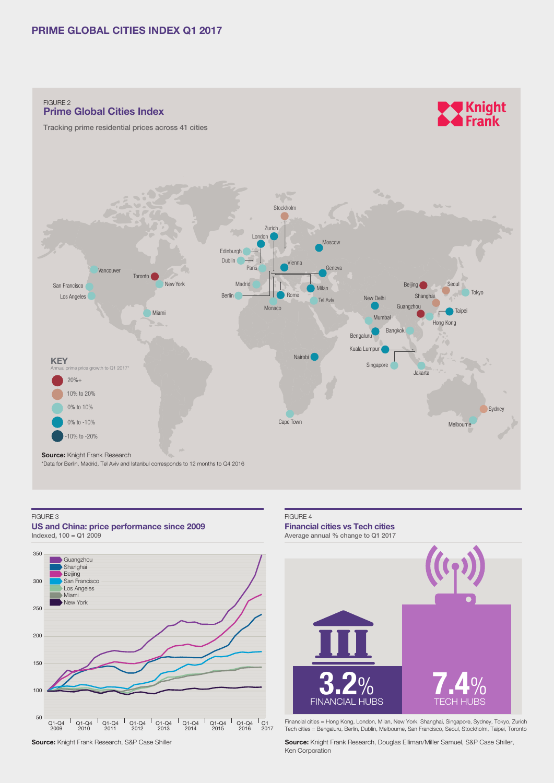### **PRIME GLOBAL CITIES INDEX Q1 2017**

FIGURE 2 **Prime Global Cities Index**

Tracking prime residential prices across 41 cities





#### FIGURE 3

**US and China: price performance since 2009**  $Indexed, 100 = Q1 2009$ 



#### FIGURE 4

**Financial cities vs Tech cities**  Average annual % change to Q1 2017



Financial cities = Hong Kong, London, Milan, New York, Shanghai, Singapore, Sydney, Tokyo, Zurich Tech cities = Bengaluru, Berlin, Dublin, Melbourne, San Francisco, Seoul, Stockholm, Taipei, Toronto

**Source:** Knight Frank Research, Douglas Elliman/Miller Samuel, S&P Case Shiller, Ken Corporation

**Source:** Knight Frank Research, S&P Case Shiller